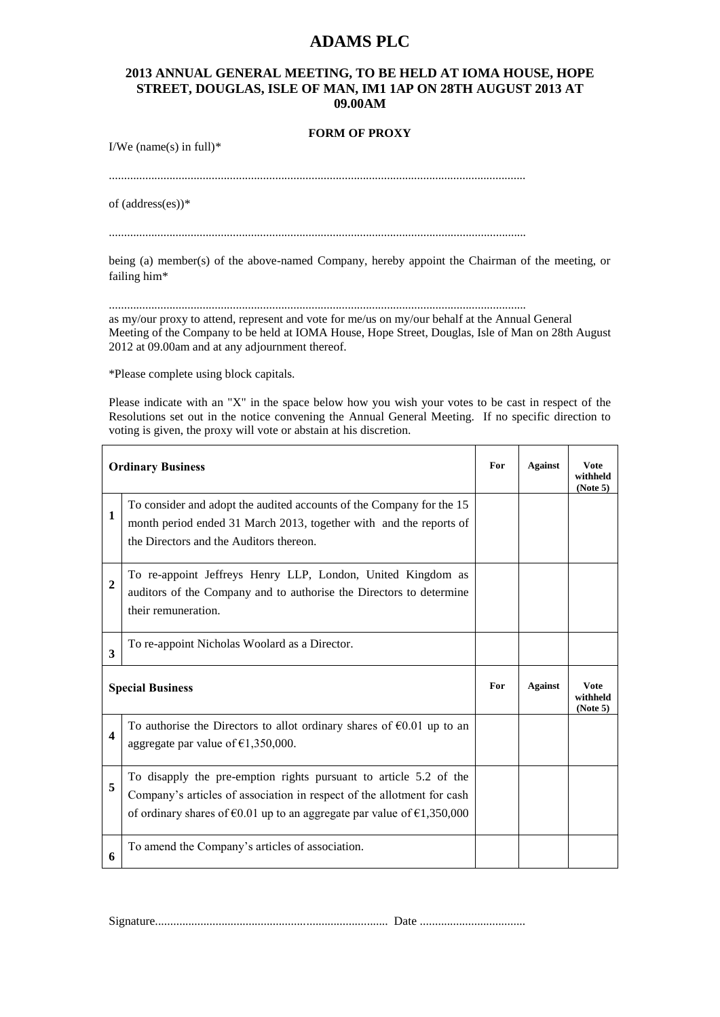## **ADAMS PLC**

## **2013 ANNUAL GENERAL MEETING, TO BE HELD AT IOMA HOUSE, HOPE STREET, DOUGLAS, ISLE OF MAN, IM1 1AP ON 28TH AUGUST 2013 AT 09.00AM**

## **FORM OF PROXY**

I/We (name(s) in full) $*$ 

..........................................................................................................................................

of (address(es))\*

..........................................................................................................................................

being (a) member(s) of the above-named Company, hereby appoint the Chairman of the meeting, or failing him\*

.......................................................................................................................................... as my/our proxy to attend, represent and vote for me/us on my/our behalf at the Annual General Meeting of the Company to be held at IOMA House, Hope Street, Douglas, Isle of Man on 28th August 2012 at 09.00am and at any adjournment thereof.

\*Please complete using block capitals.

Please indicate with an "X" in the space below how you wish your votes to be cast in respect of the Resolutions set out in the notice convening the Annual General Meeting. If no specific direction to voting is given, the proxy will vote or abstain at his discretion.

| <b>Ordinary Business</b> |                                                                                                                                                                                                                                           | For | <b>Against</b> | Vote<br>withheld<br>(Note 5)         |
|--------------------------|-------------------------------------------------------------------------------------------------------------------------------------------------------------------------------------------------------------------------------------------|-----|----------------|--------------------------------------|
| 1                        | To consider and adopt the audited accounts of the Company for the 15<br>month period ended 31 March 2013, together with and the reports of<br>the Directors and the Auditors thereon.                                                     |     |                |                                      |
| 2                        | To re-appoint Jeffreys Henry LLP, London, United Kingdom as<br>auditors of the Company and to authorise the Directors to determine<br>their remuneration.                                                                                 |     |                |                                      |
| 3                        | To re-appoint Nicholas Woolard as a Director.                                                                                                                                                                                             |     |                |                                      |
| <b>Special Business</b>  |                                                                                                                                                                                                                                           | For | <b>Against</b> | <b>V</b> ote<br>withheld<br>(Note 5) |
| 4                        | To authorise the Directors to allot ordinary shares of $\epsilon 0.01$ up to an<br>aggregate par value of $\epsilon$ 1,350,000.                                                                                                           |     |                |                                      |
| 5                        | To disapply the pre-emption rights pursuant to article 5.2 of the<br>Company's articles of association in respect of the allotment for cash<br>of ordinary shares of $\epsilon$ 0.01 up to an aggregate par value of $\epsilon$ 1,350,000 |     |                |                                      |
| 6                        | To amend the Company's articles of association.                                                                                                                                                                                           |     |                |                                      |

Signature............................................................................. Date ...................................